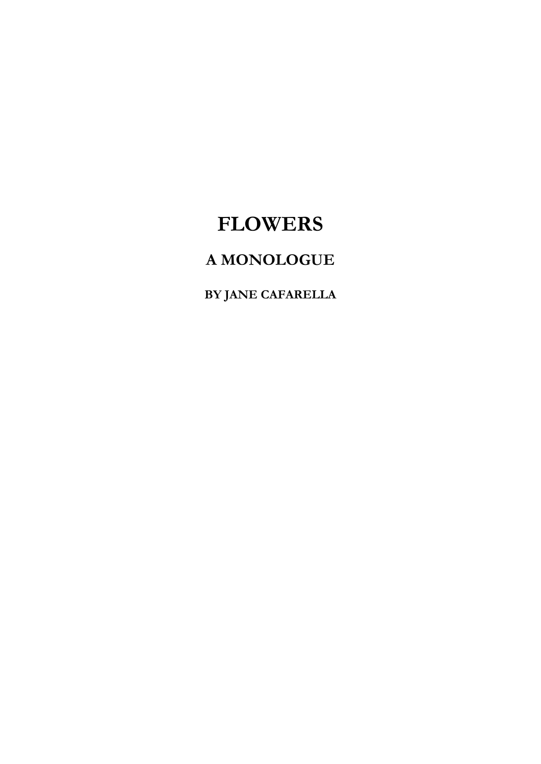## **FLOWERS**

## **A MONOLOGUE**

**BY JANE CAFARELLA**